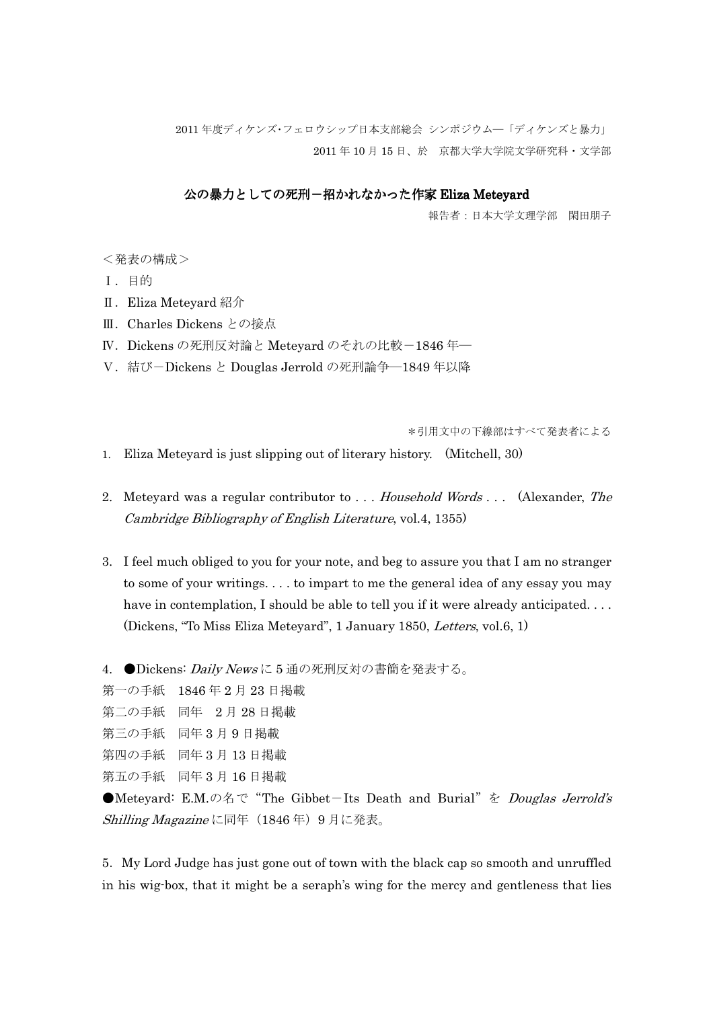2011 年度ディケンズ・フェロウシップ日本支部総会 シンポジウム―「ディケンズと暴力」 2011 年 10 月 15 日、於 京都大学大学院文学研究科・文学部

## 公の暴力としての死刑-招かれなかった作家 Eliza Meteyard

報告者:日本大学文理学部 閑田朋子

<発表の構成>

- Ⅰ.目的
- Ⅱ.Eliza Meteyard 紹介
- Ⅲ.Charles Dickens との接点
- Ⅳ.Dickens の死刑反対論と Meteyard のそれの比較-1846 年―
- Ⅴ.結び-Dickens と Douglas Jerrold の死刑論争―1849 年以降

\*引用文中の下線部はすべて発表者による

- 1. Eliza Meteyard is just slipping out of literary history. (Mitchell, 30)
- 2. Meteyard was a regular contributor to ... Household Words ... (Alexander, The Cambridge Bibliography of English Literature, vol.4, 1355)
- 3. I feel much obliged to you for your note, and beg to assure you that I am no stranger to some of your writings. . . . to impart to me the general idea of any essay you may have in contemplation, I should be able to tell you if it were already anticipated. . . . (Dickens, "To Miss Eliza Meteyard", 1 January 1850, Letters, vol.6, 1)

4. ●Dickens: *Daily News* に5 通の死刑反対の書簡を発表する。

第一の手紙 1846 年 2 月 23 日掲載

```
第二の手紙 同年 2 月 28 日掲載
```

```
第三の手紙 同年 3 月 9 日掲載
```

```
第四の手紙 同年 3 月 13 日掲載
```
第五の手紙 同年 3 月 16 日掲載

●Meteyard: E.M.の名で"The Gibbet-Its Death and Burial"を *Douglas Jerrold's* Shilling Magazine に同年 (1846年) 9月に発表。

5.My Lord Judge has just gone out of town with the black cap so smooth and unruffled in his wig-box, that it might be a seraph's wing for the mercy and gentleness that lies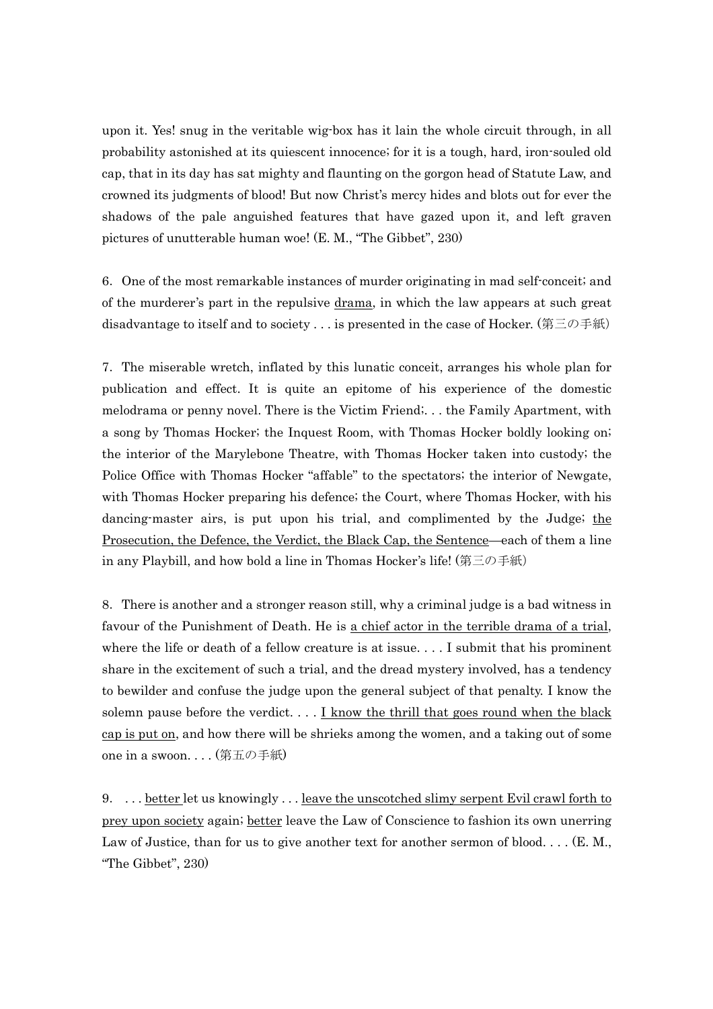upon it. Yes! snug in the veritable wig-box has it lain the whole circuit through, in all probability astonished at its quiescent innocence; for it is a tough, hard, iron-souled old cap, that in its day has sat mighty and flaunting on the gorgon head of Statute Law, and crowned its judgments of blood! But now Christ's mercy hides and blots out for ever the shadows of the pale anguished features that have gazed upon it, and left graven pictures of unutterable human woe! (E. M., "The Gibbet", 230)

6.One of the most remarkable instances of murder originating in mad self-conceit; and of the murderer's part in the repulsive <u>drama</u>, in which the law appears at such great disadvantage to itself and to society . . . is presented in the case of Hocker. (第三の手紙)

7.The miserable wretch, inflated by this lunatic conceit, arranges his whole plan for publication and effect. It is quite an epitome of his experience of the domestic melodrama or penny novel. There is the Victim Friend;. . . the Family Apartment, with a song by Thomas Hocker; the Inquest Room, with Thomas Hocker boldly looking on; the interior of the Marylebone Theatre, with Thomas Hocker taken into custody; the Police Office with Thomas Hocker "affable" to the spectators; the interior of Newgate, with Thomas Hocker preparing his defence; the Court, where Thomas Hocker, with his dancing-master airs, is put upon his trial, and complimented by the Judge; the Prosecution, the Defence, the Verdict, the Black Cap, the Sentence—each of them a line in any Playbill, and how bold a line in Thomas Hocker's life! (第三の手紙)

8.There is another and a stronger reason still, why a criminal judge is a bad witness in favour of the Punishment of Death. He is a chief actor in the terrible drama of a trial, where the life or death of a fellow creature is at issue. . . . I submit that his prominent share in the excitement of such a trial, and the dread mystery involved, has a tendency to bewilder and confuse the judge upon the general subject of that penalty. I know the solemn pause before the verdict.  $\ldots$  I know the thrill that goes round when the black cap is put on, and how there will be shrieks among the women, and a taking out of some one in a swoon. . . . (第五の手紙)

9. . . . <u>better</u> let us knowingly . . . <u>leave the unscotched slimy serpent Evil crawl forth to</u> prey upon society again; better leave the Law of Conscience to fashion its own unerring Law of Justice, than for us to give another text for another sermon of blood.... (E. M., "The Gibbet", 230)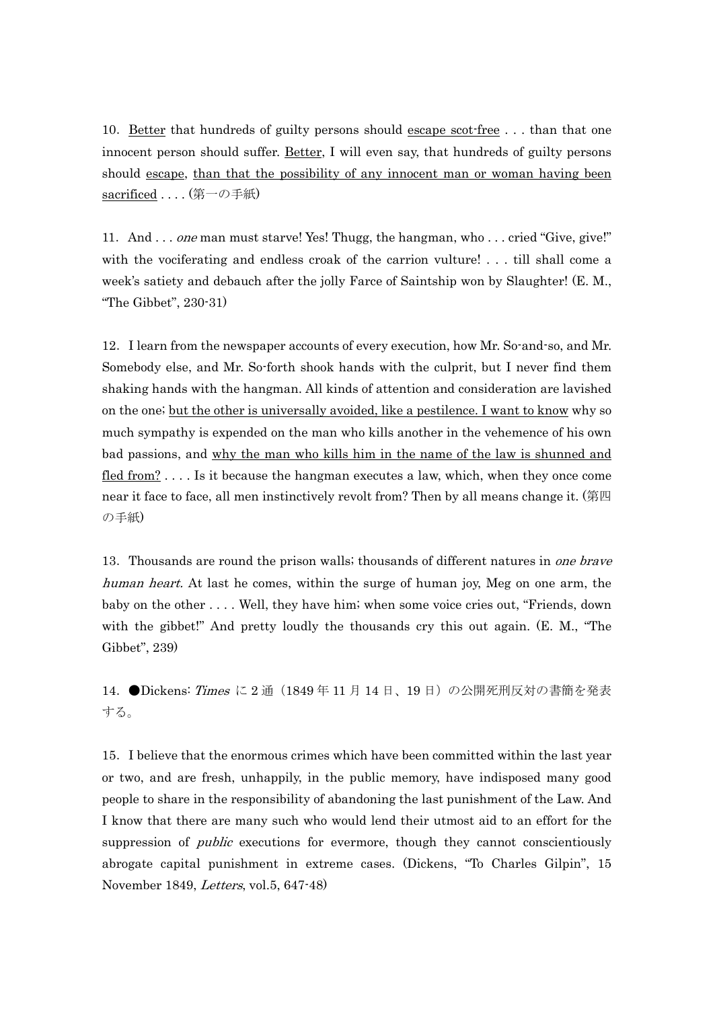10.Better that hundreds of guilty persons should escape scot-free . . . than that one innocent person should suffer. Better, I will even say, that hundreds of guilty persons should escape, than that the possibility of any innocent man or woman having been sacrificed . . . . (第一の手紙)

11. And . . . one man must starve! Yes! Thugg, the hangman, who . . . cried "Give, give!" with the vociferating and endless croak of the carrion vulture! . . . till shall come a week's satiety and debauch after the jolly Farce of Saintship won by Slaughter! (E. M., "The Gibbet", 230-31)

12.I learn from the newspaper accounts of every execution, how Mr. So-and-so, and Mr. Somebody else, and Mr. So-forth shook hands with the culprit, but I never find them shaking hands with the hangman. All kinds of attention and consideration are lavished on the one; but the other is universally avoided, like a pestilence. I want to know why so much sympathy is expended on the man who kills another in the vehemence of his own bad passions, and why the man who kills him in the name of the law is shunned and fled from? . . . . Is it because the hangman executes a law, which, when they once come near it face to face, all men instinctively revolt from? Then by all means change it. (第四 の手紙)

13. Thousands are round the prison walls; thousands of different natures in one brave human heart. At last he comes, within the surge of human joy, Meg on one arm, the baby on the other . . . . Well, they have him; when some voice cries out, "Friends, down with the gibbet!" And pretty loudly the thousands cry this out again. (E. M., "The Gibbet", 239)

14. ●Dickens: Times に 2 通 (1849年11月14日、19日)の公開死刑反対の書簡を発表 する。

15.I believe that the enormous crimes which have been committed within the last year or two, and are fresh, unhappily, in the public memory, have indisposed many good people to share in the responsibility of abandoning the last punishment of the Law. And I know that there are many such who would lend their utmost aid to an effort for the suppression of *public* executions for evermore, though they cannot conscientiously abrogate capital punishment in extreme cases. (Dickens, "To Charles Gilpin", 15 November 1849, Letters, vol.5, 647-48)